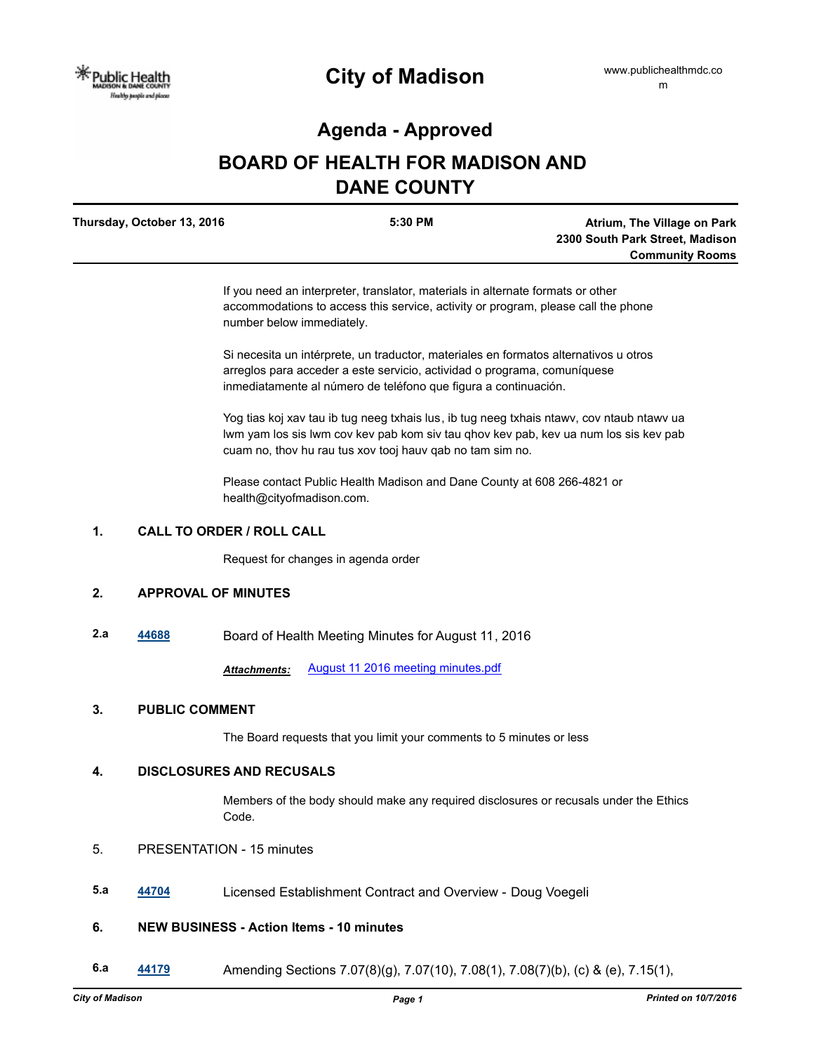## **Agenda - Approved**

# **BOARD OF HEALTH FOR MADISON AND DANE COUNTY**

| Thursday, October 13, 2016 | 5:30 PM | Atrium, The Village on Park     |
|----------------------------|---------|---------------------------------|
|                            |         | 2300 South Park Street, Madison |
|                            |         | <b>Community Rooms</b>          |

If you need an interpreter, translator, materials in alternate formats or other accommodations to access this service, activity or program, please call the phone number below immediately.

Si necesita un intérprete, un traductor, materiales en formatos alternativos u otros arreglos para acceder a este servicio, actividad o programa, comuníquese inmediatamente al número de teléfono que figura a continuación.

Yog tias koj xav tau ib tug neeg txhais lus, ib tug neeg txhais ntawv, cov ntaub ntawv ua lwm yam los sis lwm cov kev pab kom siv tau qhov kev pab, kev ua num los sis kev pab cuam no, thov hu rau tus xov tooj hauv qab no tam sim no.

Please contact Public Health Madison and Dane County at 608 266-4821 or health@cityofmadison.com.

## **1. CALL TO ORDER / ROLL CALL**

Request for changes in agenda order

## **2. APPROVAL OF MINUTES**

**2.a [44688](http://madison.legistar.com/gateway.aspx?m=l&id=/matter.aspx?key=48840)** Board of Health Meeting Minutes for August 11, 2016

*Attachments:* [August 11 2016 meeting minutes.pdf](http://madison.legistar.com/gateway.aspx?M=F&ID=1f13f6e6-ea7d-4392-86f1-e0ddd8d84f9d.pdf)

#### **3. PUBLIC COMMENT**

The Board requests that you limit your comments to 5 minutes or less

#### **4. DISCLOSURES AND RECUSALS**

Members of the body should make any required disclosures or recusals under the Ethics Code.

- 5. PRESENTATION 15 minutes
- **5.a [44704](http://madison.legistar.com/gateway.aspx?m=l&id=/matter.aspx?key=48856)** Licensed Establishment Contract and Overview Doug Voegeli

## **6. NEW BUSINESS - Action Items - 10 minutes**

**6.a [44179](http://madison.legistar.com/gateway.aspx?m=l&id=/matter.aspx?key=48371)** Amending Sections 7.07(8)(g), 7.07(10), 7.08(1), 7.08(7)(b), (c) & (e), 7.15(1),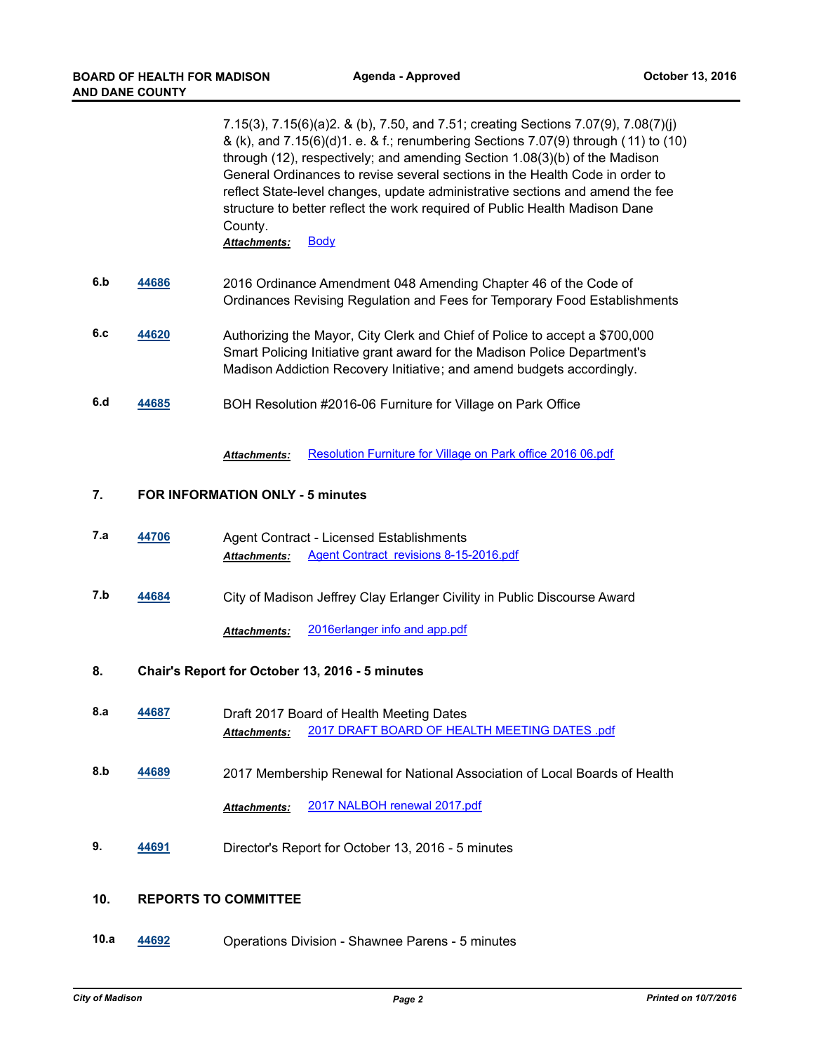7.15(3), 7.15(6)(a)2. & (b), 7.50, and 7.51; creating Sections 7.07(9), 7.08(7)(j) & (k), and 7.15(6)(d)1. e. & f.; renumbering Sections 7.07(9) through (11) to (10) through (12), respectively; and amending Section 1.08(3)(b) of the Madison General Ordinances to revise several sections in the Health Code in order to reflect State-level changes, update administrative sections and amend the fee structure to better reflect the work required of Public Health Madison Dane County.

Attachments: [Body](http://madison.legistar.com/gateway.aspx?M=F&ID=624a5f14-74e9-40dd-bcc8-fecd93d4dfcd.pdf)

- **6.b [44686](http://madison.legistar.com/gateway.aspx?m=l&id=/matter.aspx?key=48838)** 2016 Ordinance Amendment 048 Amending Chapter 46 of the Code of Ordinances Revising Regulation and Fees for Temporary Food Establishments
- **6.c [44620](http://madison.legistar.com/gateway.aspx?m=l&id=/matter.aspx?key=48778)** Authorizing the Mayor, City Clerk and Chief of Police to accept a \$700,000 Smart Policing Initiative grant award for the Madison Police Department's Madison Addiction Recovery Initiative; and amend budgets accordingly.
- **6.d [44685](http://madison.legistar.com/gateway.aspx?m=l&id=/matter.aspx?key=48837)** BOH Resolution #2016-06 Furniture for Village on Park Office

Attachments: [Resolution Furniture for Village on Park office 2016 06.pdf](http://madison.legistar.com/gateway.aspx?M=F&ID=5d48016b-efcc-43c2-abcf-21f550ae0649.pdf)

#### **7. FOR INFORMATION ONLY - 5 minutes**

- **7.a [44706](http://madison.legistar.com/gateway.aspx?m=l&id=/matter.aspx?key=48858)** Agent Contract Licensed Establishments *Attachments:* [Agent Contract revisions 8-15-2016.pdf](http://madison.legistar.com/gateway.aspx?M=F&ID=52bd0b47-dfd9-4cb8-8709-e220565376c0.pdf)
- **7.b [44684](http://madison.legistar.com/gateway.aspx?m=l&id=/matter.aspx?key=48836)** City of Madison Jeffrey Clay Erlanger Civility in Public Discourse Award

*Attachments:* [2016erlanger info and app.pdf](http://madison.legistar.com/gateway.aspx?M=F&ID=5db5f55c-ad7b-4de9-b65c-f90e1032c3e4.pdf)

- **8. Chair's Report for October 13, 2016 5 minutes**
- **8.a [44687](http://madison.legistar.com/gateway.aspx?m=l&id=/matter.aspx?key=48839)** Draft 2017 Board of Health Meeting Dates *Attachments:* [2017 DRAFT BOARD OF HEALTH MEETING DATES .pdf](http://madison.legistar.com/gateway.aspx?M=F&ID=bf3a84b5-7866-4cfe-a178-addc531ba6c0.pdf)
- **8.b [44689](http://madison.legistar.com/gateway.aspx?m=l&id=/matter.aspx?key=48841)** 2017 Membership Renewal for National Association of Local Boards of Health

#### *Attachments:* [2017 NALBOH renewal 2017.pdf](http://madison.legistar.com/gateway.aspx?M=F&ID=366db4e0-5a2e-4b20-9c89-c6bab68647f4.pdf)

**9. [44691](http://madison.legistar.com/gateway.aspx?m=l&id=/matter.aspx?key=48843)** Director's Report for October 13, 2016 - 5 minutes

## **10. REPORTS TO COMMITTEE**

**10.a [44692](http://madison.legistar.com/gateway.aspx?m=l&id=/matter.aspx?key=48844)** Operations Division - Shawnee Parens - 5 minutes